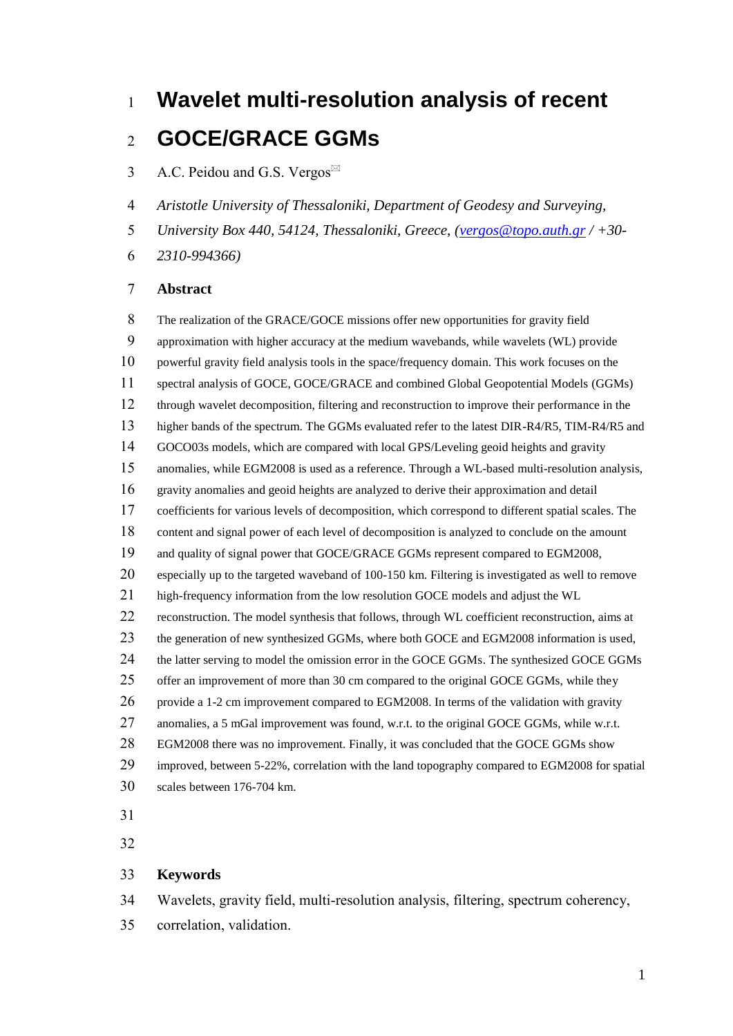# **Wavelet multi-resolution analysis of recent**

## **GOCE/GRACE GGMs**

- 3 A.C. Peidou and G.S. Vergos $\mathbb{Z}$
- *Aristotle University of Thessaloniki, Department of Geodesy and Surveying,*
- *University Box 440, 54124, Thessaloniki, Greece, [\(vergos@topo.auth.gr](mailto:vergos@topo.auth.gr) / +30-*
- *2310-994366)*

#### **Abstract**

 The realization of the GRACE/GOCE missions offer new opportunities for gravity field approximation with higher accuracy at the medium wavebands, while wavelets (WL) provide powerful gravity field analysis tools in the space/frequency domain. This work focuses on the spectral analysis of GOCE, GOCE/GRACE and combined Global Geopotential Models (GGMs) through wavelet decomposition, filtering and reconstruction to improve their performance in the higher bands of the spectrum. The GGMs evaluated refer to the latest DIR-R4/R5, TIM-R4/R5 and GOCO03s models, which are compared with local GPS/Leveling geoid heights and gravity anomalies, while EGM2008 is used as a reference. Through a WL-based multi-resolution analysis, gravity anomalies and geoid heights are analyzed to derive their approximation and detail coefficients for various levels of decomposition, which correspond to different spatial scales. The content and signal power of each level of decomposition is analyzed to conclude on the amount and quality of signal power that GOCE/GRACE GGMs represent compared to EGM2008, especially up to the targeted waveband of 100-150 km. Filtering is investigated as well to remove high-frequency information from the low resolution GOCE models and adjust the WL 22 reconstruction. The model synthesis that follows, through WL coefficient reconstruction, aims at the generation of new synthesized GGMs, where both GOCE and EGM2008 information is used, 24 the latter serving to model the omission error in the GOCE GGMs. The synthesized GOCE GGMs 25 offer an improvement of more than 30 cm compared to the original GOCE GGMs, while they provide a 1-2 cm improvement compared to EGM2008. In terms of the validation with gravity 27 anomalies, a 5 mGal improvement was found, w.r.t. to the original GOCE GGMs, while w.r.t. EGM2008 there was no improvement. Finally, it was concluded that the GOCE GGMs show improved, between 5-22%, correlation with the land topography compared to EGM2008 for spatial scales between 176-704 km.

- 
- 

## **Keywords**

Wavelets, gravity field, multi-resolution analysis, filtering, spectrum coherency,

correlation, validation.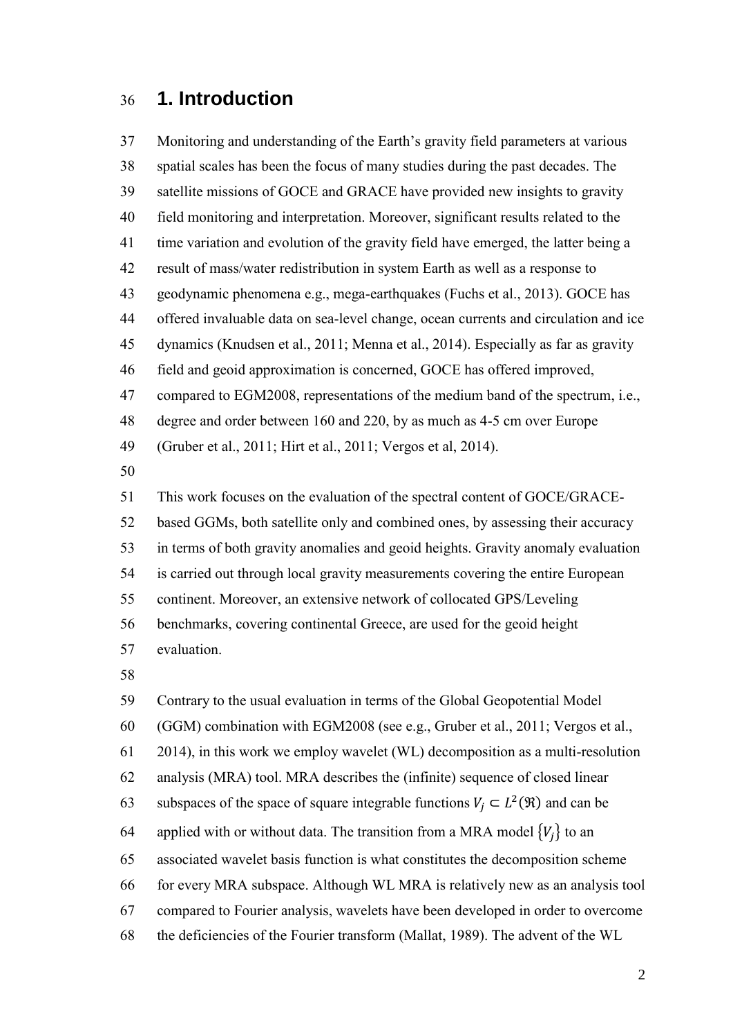## **1. Introduction**

 Monitoring and understanding of the Earth's gravity field parameters at various spatial scales has been the focus of many studies during the past decades. The satellite missions of GOCE and GRACE have provided new insights to gravity field monitoring and interpretation. Moreover, significant results related to the time variation and evolution of the gravity field have emerged, the latter being a result of mass/water redistribution in system Earth as well as a response to geodynamic phenomena e.g., mega-earthquakes (Fuchs et al., 2013). GOCE has offered invaluable data on sea-level change, ocean currents and circulation and ice dynamics (Knudsen et al., 2011; Menna et al., 2014). Especially as far as gravity field and geoid approximation is concerned, GOCE has offered improved, compared to EGM2008, representations of the medium band of the spectrum, i.e., degree and order between 160 and 220, by as much as 4-5 cm over Europe (Gruber et al., 2011; Hirt et al., 2011; Vergos et al, 2014). 

 This work focuses on the evaluation of the spectral content of GOCE/GRACE- based GGMs, both satellite only and combined ones, by assessing their accuracy in terms of both gravity anomalies and geoid heights. Gravity anomaly evaluation is carried out through local gravity measurements covering the entire European continent. Moreover, an extensive network of collocated GPS/Leveling benchmarks, covering continental Greece, are used for the geoid height evaluation.

Contrary to the usual evaluation in terms of the Global Geopotential Model

(GGM) combination with EGM2008 (see e.g., Gruber et al., 2011; Vergos et al.,

2014), in this work we employ wavelet (WL) decomposition as a multi-resolution

analysis (MRA) tool. MRA describes the (infinite) sequence of closed linear

- 63 subspaces of the space of square integrable functions  $V_j \subset L^2(\mathfrak{R})$  and can be
- 64 applied with or without data. The transition from a MRA model  ${V_i}$  to an

associated wavelet basis function is what constitutes the decomposition scheme

for every MRA subspace. Although WL MRA is relatively new as an analysis tool

compared to Fourier analysis, wavelets have been developed in order to overcome

the deficiencies of the Fourier transform (Mallat, 1989). The advent of the WL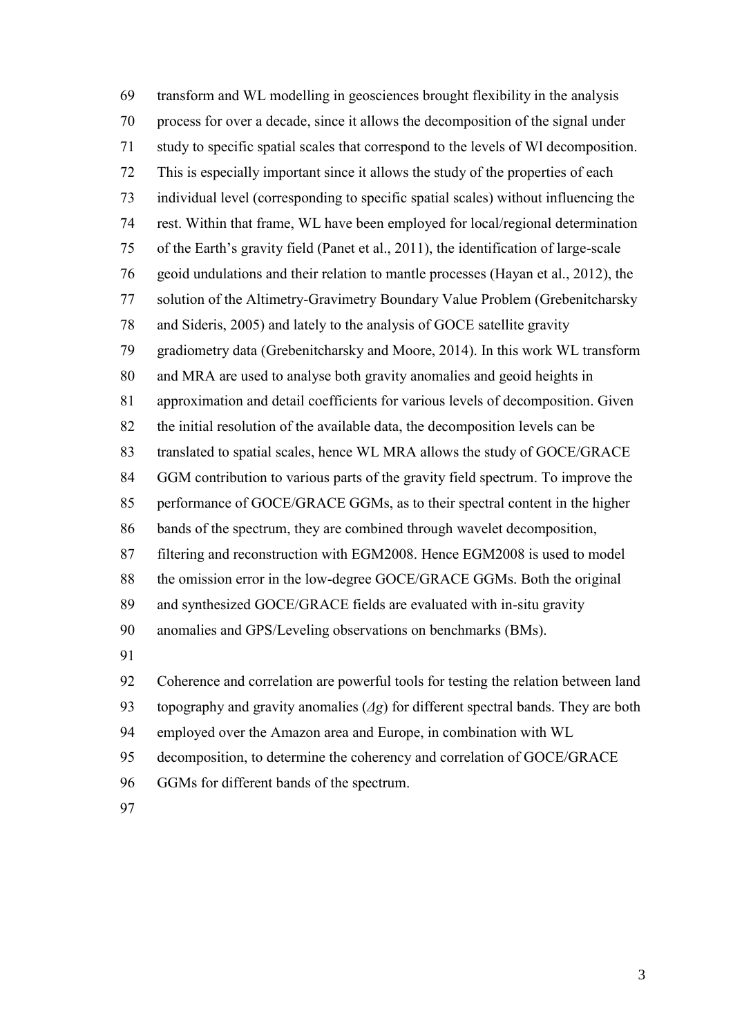transform and WL modelling in geosciences brought flexibility in the analysis process for over a decade, since it allows the decomposition of the signal under study to specific spatial scales that correspond to the levels of Wl decomposition. This is especially important since it allows the study of the properties of each individual level (corresponding to specific spatial scales) without influencing the rest. Within that frame, WL have been employed for local/regional determination of the Earth's gravity field (Panet et al., 2011), the identification of large-scale geoid undulations and their relation to mantle processes (Hayan et al., 2012), the solution of the Altimetry-Gravimetry Boundary Value Problem (Grebenitcharsky and Sideris, 2005) and lately to the analysis of GOCE satellite gravity gradiometry data (Grebenitcharsky and Moore, 2014). In this work WL transform and MRA are used to analyse both gravity anomalies and geoid heights in approximation and detail coefficients for various levels of decomposition. Given the initial resolution of the available data, the decomposition levels can be translated to spatial scales, hence WL MRA allows the study of GOCE/GRACE GGM contribution to various parts of the gravity field spectrum. To improve the performance of GOCE/GRACE GGMs, as to their spectral content in the higher bands of the spectrum, they are combined through wavelet decomposition, filtering and reconstruction with EGM2008. Hence EGM2008 is used to model the omission error in the low-degree GOCE/GRACE GGMs. Both the original and synthesized GOCE/GRACE fields are evaluated with in-situ gravity anomalies and GPS/Leveling observations on benchmarks (BMs). Coherence and correlation are powerful tools for testing the relation between land topography and gravity anomalies (*Δg*) for different spectral bands. They are both employed over the Amazon area and Europe, in combination with WL decomposition, to determine the coherency and correlation of GOCE/GRACE GGMs for different bands of the spectrum.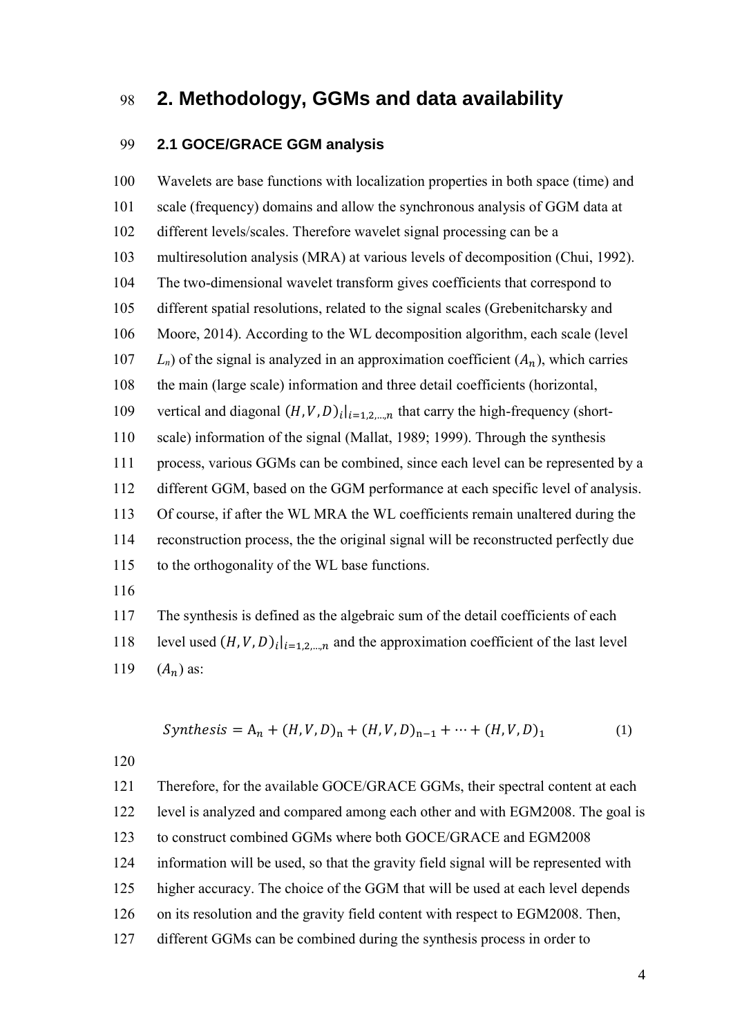## **2. Methodology, GGMs and data availability**

#### **2.1 GOCE/GRACE GGM analysis**

 Wavelets are base functions with localization properties in both space (time) and scale (frequency) domains and allow the synchronous analysis of GGM data at different levels/scales. Therefore wavelet signal processing can be a multiresolution analysis (MRA) at various levels of decomposition (Chui, 1992). The two-dimensional wavelet transform gives coefficients that correspond to different spatial resolutions, related to the signal scales (Grebenitcharsky and Moore, 2014). According to the WL decomposition algorithm, each scale (level  $L_n$ ) of the signal is analyzed in an approximation coefficient  $(A_n)$ , which carries the main (large scale) information and three detail coefficients (horizontal, 109 vertical and diagonal  $(H, V, D)$ <sub>i</sub>  $|_{i=1,2,...,n}$  that carry the high-frequency (short- scale) information of the signal (Mallat, 1989; 1999). Through the synthesis process, various GGMs can be combined, since each level can be represented by a different GGM, based on the GGM performance at each specific level of analysis. Of course, if after the WL MRA the WL coefficients remain unaltered during the reconstruction process, the the original signal will be reconstructed perfectly due to the orthogonality of the WL base functions. The synthesis is defined as the algebraic sum of the detail coefficients of each

118 level used  $(H, V, D)$ <sub>i</sub>  $|_{i=1,2,...,n}$  and the approximation coefficient of the last level

119  $(A_n)$  as:

$$
Synthesis = A_n + (H, V, D)_n + (H, V, D)_{n-1} + \dots + (H, V, D)_1
$$
 (1)

 Therefore, for the available GOCE/GRACE GGMs, their spectral content at each level is analyzed and compared among each other and with EGM2008. The goal is to construct combined GGMs where both GOCE/GRACE and EGM2008 information will be used, so that the gravity field signal will be represented with higher accuracy. The choice of the GGM that will be used at each level depends on its resolution and the gravity field content with respect to EGM2008. Then, different GGMs can be combined during the synthesis process in order to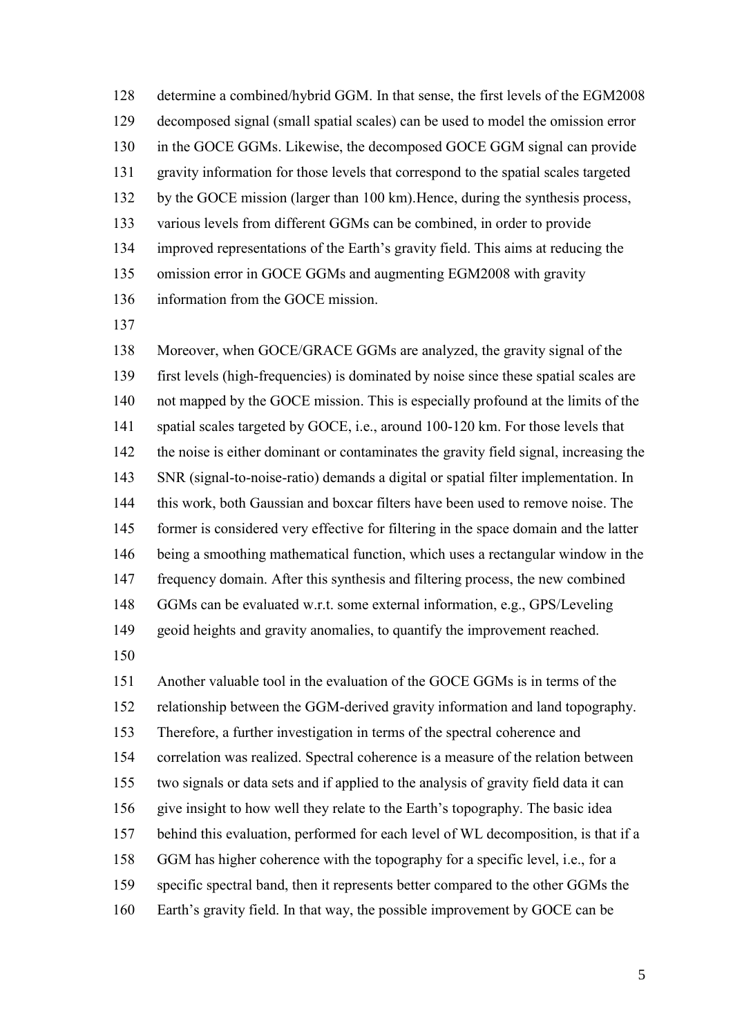determine a combined/hybrid GGM. In that sense, the first levels of the EGM2008 decomposed signal (small spatial scales) can be used to model the omission error in the GOCE GGMs. Likewise, the decomposed GOCE GGM signal can provide gravity information for those levels that correspond to the spatial scales targeted by the GOCE mission (larger than 100 km).Hence, during the synthesis process, various levels from different GGMs can be combined, in order to provide improved representations of the Earth's gravity field. This aims at reducing the omission error in GOCE GGMs and augmenting EGM2008 with gravity information from the GOCE mission.

 Moreover, when GOCE/GRACE GGMs are analyzed, the gravity signal of the first levels (high-frequencies) is dominated by noise since these spatial scales are not mapped by the GOCE mission. This is especially profound at the limits of the spatial scales targeted by GOCE, i.e., around 100-120 km. For those levels that the noise is either dominant or contaminates the gravity field signal, increasing the SNR (signal-to-noise-ratio) demands a digital or spatial filter implementation. In this work, both Gaussian and boxcar filters have been used to remove noise. The former is considered very effective for filtering in the space domain and the latter being a smoothing mathematical function, which uses a rectangular window in the frequency domain. After this synthesis and filtering process, the new combined GGMs can be evaluated w.r.t. some external information, e.g., GPS/Leveling geoid heights and gravity anomalies, to quantify the improvement reached.

 Another valuable tool in the evaluation of the GOCE GGMs is in terms of the relationship between the GGM-derived gravity information and land topography. Therefore, a further investigation in terms of the spectral coherence and correlation was realized. Spectral coherence is a measure of the relation between two signals or data sets and if applied to the analysis of gravity field data it can give insight to how well they relate to the Earth's topography. The basic idea behind this evaluation, performed for each level of WL decomposition, is that if a GGM has higher coherence with the topography for a specific level, i.e., for a specific spectral band, then it represents better compared to the other GGMs the Earth's gravity field. In that way, the possible improvement by GOCE can be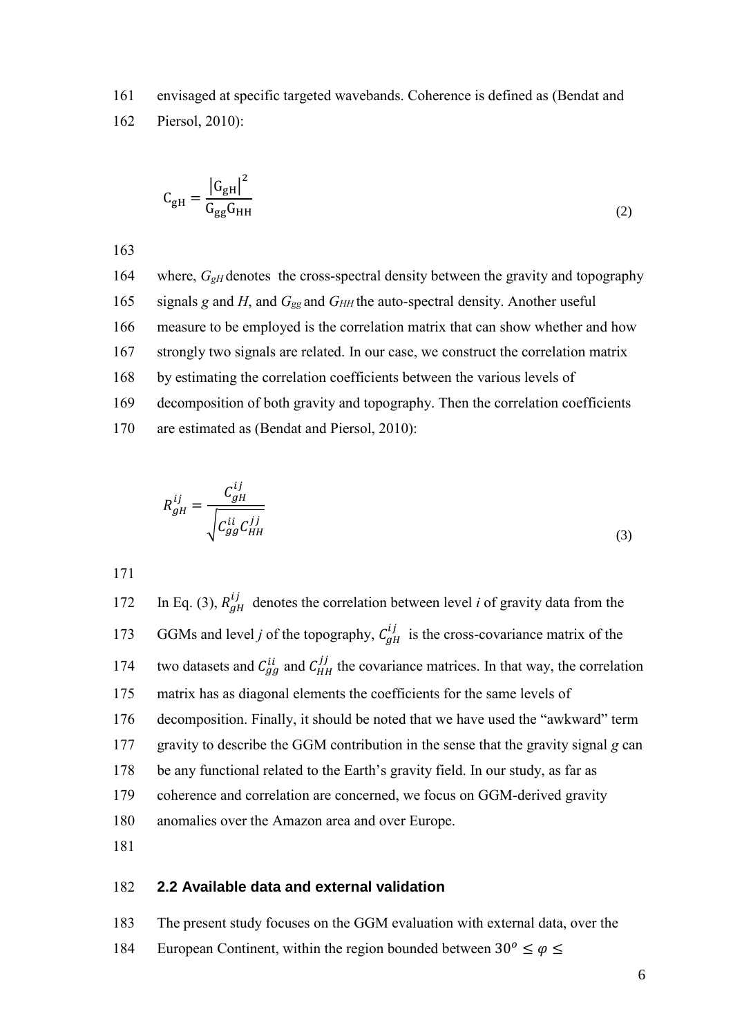161 envisaged at specific targeted wavebands. Coherence is defined as (Bendat and

162 Piersol, 2010):

$$
C_{\rm gH} = \frac{|G_{\rm gH}|^2}{G_{\rm gg}G_{\rm HH}}
$$
 (2)

163

164 where, *G*<sub>*gH*</sub> denotes the cross-spectral density between the gravity and topography 165 signals *g* and *H*, and *G*<sub>gg</sub> and *G<sub>HH</sub>* the auto-spectral density. Another useful measure to be employed is the correlation matrix that can show whether and how strongly two signals are related. In our case, we construct the correlation matrix by estimating the correlation coefficients between the various levels of decomposition of both gravity and topography. Then the correlation coefficients are estimated as (Bendat and Piersol, 2010):

$$
R_{gH}^{ij} = \frac{C_{gH}^{ij}}{\sqrt{C_{gg}^{ii} C_{HH}^{jj}}}
$$
\n(3)

171

172 In Eq. (3),  $R_{gH}^{ij}$  denotes the correlation between level *i* of gravity data from the 173 GGMs and level *j* of the topography,  $C_{gH}^{ij}$  is the cross-covariance matrix of the 174 two datasets and  $C_{gg}^{ii}$  and  $C_{HH}^{jj}$  the covariance matrices. In that way, the correlation 175 matrix has as diagonal elements the coefficients for the same levels of 176 decomposition. Finally, it should be noted that we have used the "awkward" term 177 gravity to describe the GGM contribution in the sense that the gravity signal *g* can 178 be any functional related to the Earth's gravity field. In our study, as far as 179 coherence and correlation are concerned, we focus on GGM-derived gravity 180 anomalies over the Amazon area and over Europe. 181

#### 182 **2.2 Available data and external validation**

- 183 The present study focuses on the GGM evaluation with external data, over the
- 184 European Continent, within the region bounded between  $30^{\circ} \le \varphi \le$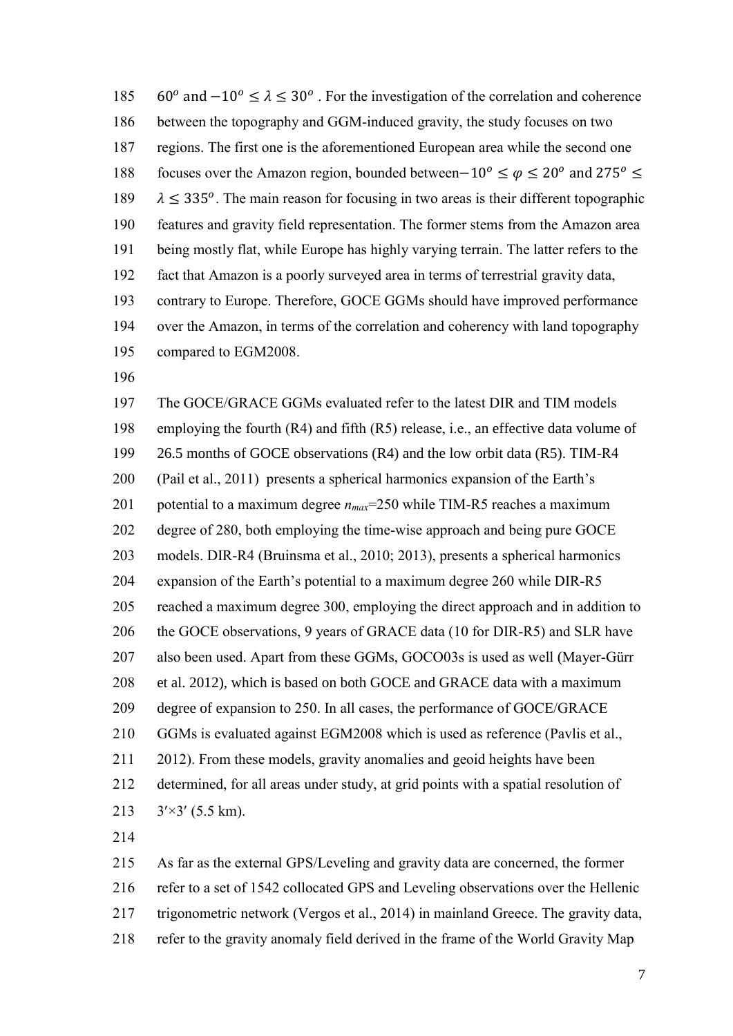185 60<sup>o</sup> and  $-10^{\circ} \le \lambda \le 30^{\circ}$ . For the investigation of the correlation and coherence between the topography and GGM-induced gravity, the study focuses on two regions. The first one is the aforementioned European area while the second one 188 focuses over the Amazon region, bounded between–10<sup>o</sup> ≤  $\varphi$  ≤ 20<sup>o</sup> and 275<sup>o</sup> ≤  $\lambda \leq 335^\circ$ . The main reason for focusing in two areas is their different topographic features and gravity field representation. The former stems from the Amazon area being mostly flat, while Europe has highly varying terrain. The latter refers to the fact that Amazon is a poorly surveyed area in terms of terrestrial gravity data, contrary to Europe. Therefore, GOCE GGMs should have improved performance over the Amazon, in terms of the correlation and coherency with land topography compared to EGM2008.

 The GOCE/GRACE GGMs evaluated refer to the latest DIR and TIM models employing the fourth (R4) and fifth (R5) release, i.e., an effective data volume of 26.5 months of GOCE observations (R4) and the low orbit data (R5). TIM-R4 (Pail et al., 2011) presents a spherical harmonics expansion of the Earth's potential to a maximum degree *nmax*=250 while TIM-R5 reaches a maximum degree of 280, both employing the time-wise approach and being pure GOCE models. DIR-R4 (Bruinsma et al., 2010; 2013), presents a spherical harmonics expansion of the Earth's potential to a maximum degree 260 while DIR-R5 reached a maximum degree 300, employing the direct approach and in addition to the GOCE observations, 9 years of GRACE data (10 for DIR-R5) and SLR have also been used. Apart from these GGMs, GOCO03s is used as well (Mayer-Gürr et al. 2012), which is based on both GOCE and GRACE data with a maximum degree of expansion to 250. In all cases, the performance of GOCE/GRACE GGMs is evaluated against EGM2008 which is used as reference (Pavlis et al., 2012). From these models, gravity anomalies and geoid heights have been determined, for all areas under study, at grid points with a spatial resolution of  $3' \times 3'$  (5.5 km).

 As far as the external GPS/Leveling and gravity data are concerned, the former refer to a set of 1542 collocated GPS and Leveling observations over the Hellenic trigonometric network (Vergos et al., 2014) in mainland Greece. The gravity data, refer to the gravity anomaly field derived in the frame of the World Gravity Map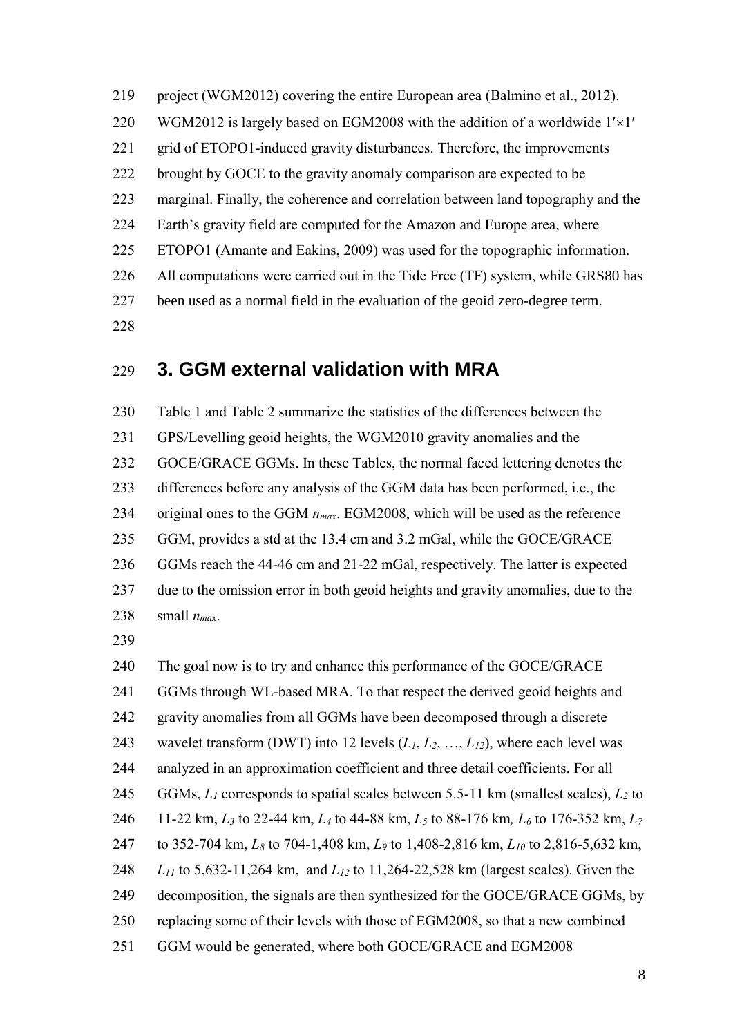project (WGM2012) covering the entire European area (Balmino et al., 2012). 220 WGM2012 is largely based on EGM2008 with the addition of a worldwide  $1' \times 1'$  grid of ETOPO1-induced gravity disturbances. Therefore, the improvements brought by GOCE to the gravity anomaly comparison are expected to be marginal. Finally, the coherence and correlation between land topography and the Earth's gravity field are computed for the Amazon and Europe area, where ETOPO1 (Amante and Eakins, 2009) was used for the topographic information. All computations were carried out in the Tide Free (TF) system, while GRS80 has been used as a normal field in the evaluation of the geoid zero-degree term. 

### **3. GGM external validation with MRA**

 Table 1 and Table 2 summarize the statistics of the differences between the GPS/Levelling geoid heights, the WGM2010 gravity anomalies and the GOCE/GRACE GGMs. In these Tables, the normal faced lettering denotes the differences before any analysis of the GGM data has been performed, i.e., the original ones to the GGM *nmax*. EGM2008, which will be used as the reference GGM, provides a std at the 13.4 cm and 3.2 mGal, while the GOCE/GRACE GGMs reach the 44-46 cm and 21-22 mGal, respectively. The latter is expected due to the omission error in both geoid heights and gravity anomalies, due to the 238 small  $n_{max}$ .

 The goal now is to try and enhance this performance of the GOCE/GRACE GGMs through WL-based MRA. To that respect the derived geoid heights and gravity anomalies from all GGMs have been decomposed through a discrete wavelet transform (DWT) into 12 levels (*L1*, *L2*, …, *L12*), where each level was analyzed in an approximation coefficient and three detail coefficients. For all GGMs, *L<sup>1</sup>* corresponds to spatial scales between 5.5-11 km (smallest scales), *L<sup>2</sup>* to 11-22 km, *L<sup>3</sup>* to 22-44 km, *L<sup>4</sup>* to 44-88 km, *L<sup>5</sup>* to 88-176 km*, L<sup>6</sup>* to 176-352 km, *L<sup>7</sup>* to 352-704 km, *L<sup>8</sup>* to 704-1,408 km, *L<sup>9</sup>* to 1,408-2,816 km, *L<sup>10</sup>* to 2,816-5,632 km, *L<sup>11</sup>* to 5,632-11,264 km, and *L<sup>12</sup>* to 11,264-22,528 km (largest scales). Given the decomposition, the signals are then synthesized for the GOCE/GRACE GGMs, by replacing some of their levels with those of EGM2008, so that a new combined GGM would be generated, where both GOCE/GRACE and EGM2008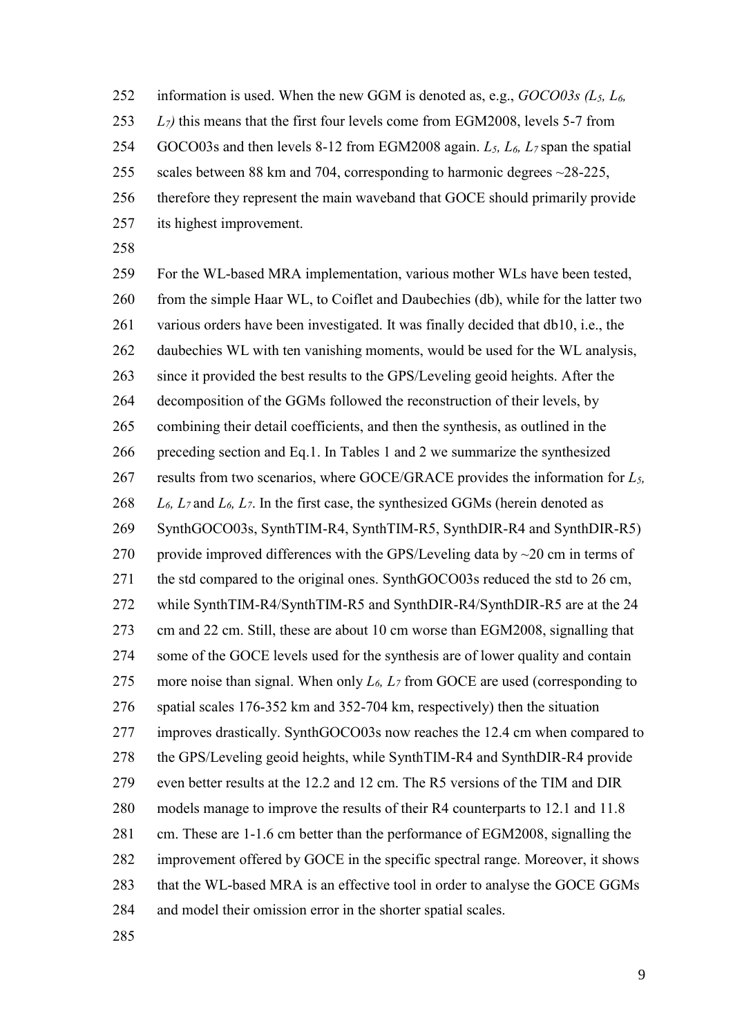information is used. When the new GGM is denoted as, e.g., *GOCO03s (L5, L6, L7)* this means that the first four levels come from EGM2008, levels 5-7 from GOCO03s and then levels 8-12 from EGM2008 again. *L5, L6, L<sup>7</sup>* span the spatial 255 scales between 88 km and 704, corresponding to harmonic degrees ~28-225, therefore they represent the main waveband that GOCE should primarily provide its highest improvement.

 For the WL-based MRA implementation, various mother WLs have been tested, from the simple Haar WL, to Coiflet and Daubechies (db), while for the latter two various orders have been investigated. It was finally decided that db10, i.e., the 262 daubechies WL with ten vanishing moments, would be used for the WL analysis, since it provided the best results to the GPS/Leveling geoid heights. After the decomposition of the GGMs followed the reconstruction of their levels, by combining their detail coefficients, and then the synthesis, as outlined in the preceding section and Eq.1. In Tables 1 and 2 we summarize the synthesized results from two scenarios, where GOCE/GRACE provides the information for *L5, L6, L<sup>7</sup>* and *L6, L7*. In the first case, the synthesized GGMs (herein denoted as SynthGOCO03s, SynthTIM-R4, SynthTIM-R5, SynthDIR-R4 and SynthDIR-R5) 270 provide improved differences with the GPS/Leveling data by  $\sim$  20 cm in terms of the std compared to the original ones. SynthGOCO03s reduced the std to 26 cm, while SynthTIM-R4/SynthTIM-R5 and SynthDIR-R4/SynthDIR-R5 are at the 24 cm and 22 cm. Still, these are about 10 cm worse than EGM2008, signalling that some of the GOCE levels used for the synthesis are of lower quality and contain more noise than signal. When only *L6, L<sup>7</sup>* from GOCE are used (corresponding to spatial scales 176-352 km and 352-704 km, respectively) then the situation improves drastically. SynthGOCO03s now reaches the 12.4 cm when compared to the GPS/Leveling geoid heights, while SynthTIM-R4 and SynthDIR-R4 provide even better results at the 12.2 and 12 cm. The R5 versions of the TIM and DIR models manage to improve the results of their R4 counterparts to 12.1 and 11.8 cm. These are 1-1.6 cm better than the performance of EGM2008, signalling the improvement offered by GOCE in the specific spectral range. Moreover, it shows that the WL-based MRA is an effective tool in order to analyse the GOCE GGMs and model their omission error in the shorter spatial scales.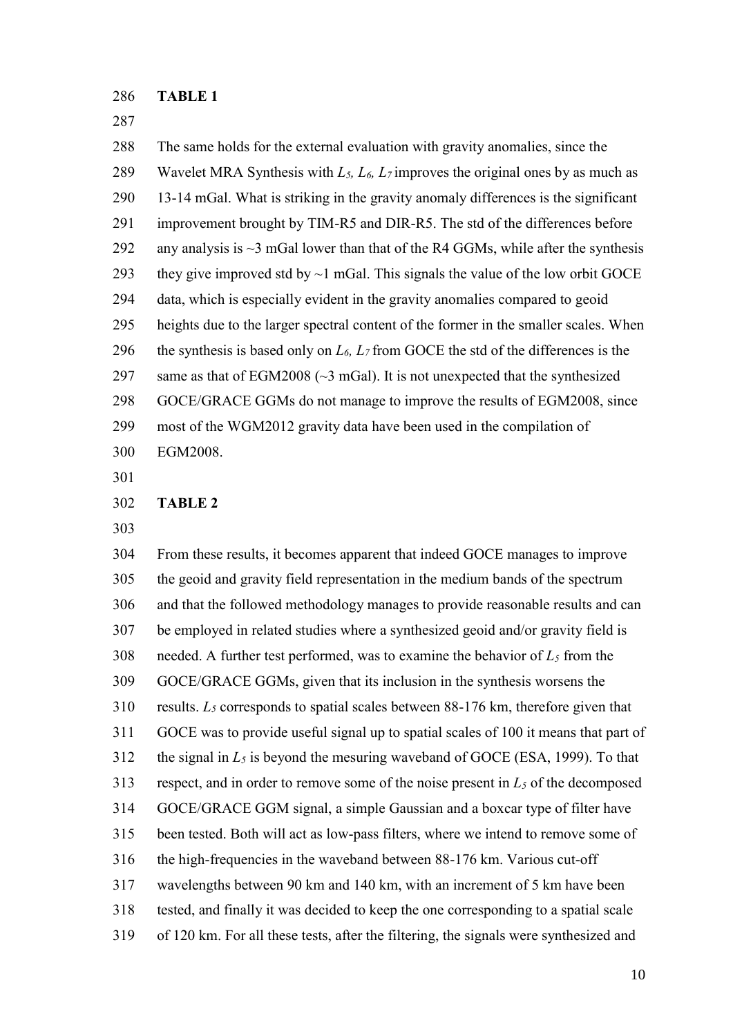#### **TABLE 1**

 The same holds for the external evaluation with gravity anomalies, since the Wavelet MRA Synthesis with *L5, L6, L<sup>7</sup>* improves the original ones by as much as 13-14 mGal. What is striking in the gravity anomaly differences is the significant improvement brought by TIM-R5 and DIR-R5. The std of the differences before 292 any analysis is  $\sim$ 3 mGal lower than that of the R4 GGMs, while after the synthesis 293 they give improved std by  $\sim$  1 mGal. This signals the value of the low orbit GOCE data, which is especially evident in the gravity anomalies compared to geoid heights due to the larger spectral content of the former in the smaller scales. When 296 the synthesis is based only on  $L_6$ ,  $L_7$  from GOCE the std of the differences is the same as that of EGM2008 (~3 mGal). It is not unexpected that the synthesized GOCE/GRACE GGMs do not manage to improve the results of EGM2008, since most of the WGM2012 gravity data have been used in the compilation of EGM2008.

#### **TABLE 2**

 From these results, it becomes apparent that indeed GOCE manages to improve the geoid and gravity field representation in the medium bands of the spectrum and that the followed methodology manages to provide reasonable results and can be employed in related studies where a synthesized geoid and/or gravity field is 308 needed. A further test performed, was to examine the behavior of  $L_5$  from the GOCE/GRACE GGMs, given that its inclusion in the synthesis worsens the results. *L<sup>5</sup>* corresponds to spatial scales between 88-176 km, therefore given that GOCE was to provide useful signal up to spatial scales of 100 it means that part of 312 the signal in  $L_5$  is beyond the mesuring waveband of GOCE (ESA, 1999). To that respect, and in order to remove some of the noise present in *L<sup>5</sup>* of the decomposed GOCE/GRACE GGM signal, a simple Gaussian and a boxcar type of filter have been tested. Both will act as low-pass filters, where we intend to remove some of the high-frequencies in the waveband between 88-176 km. Various cut-off wavelengths between 90 km and 140 km, with an increment of 5 km have been tested, and finally it was decided to keep the one corresponding to a spatial scale of 120 km. For all these tests, after the filtering, the signals were synthesized and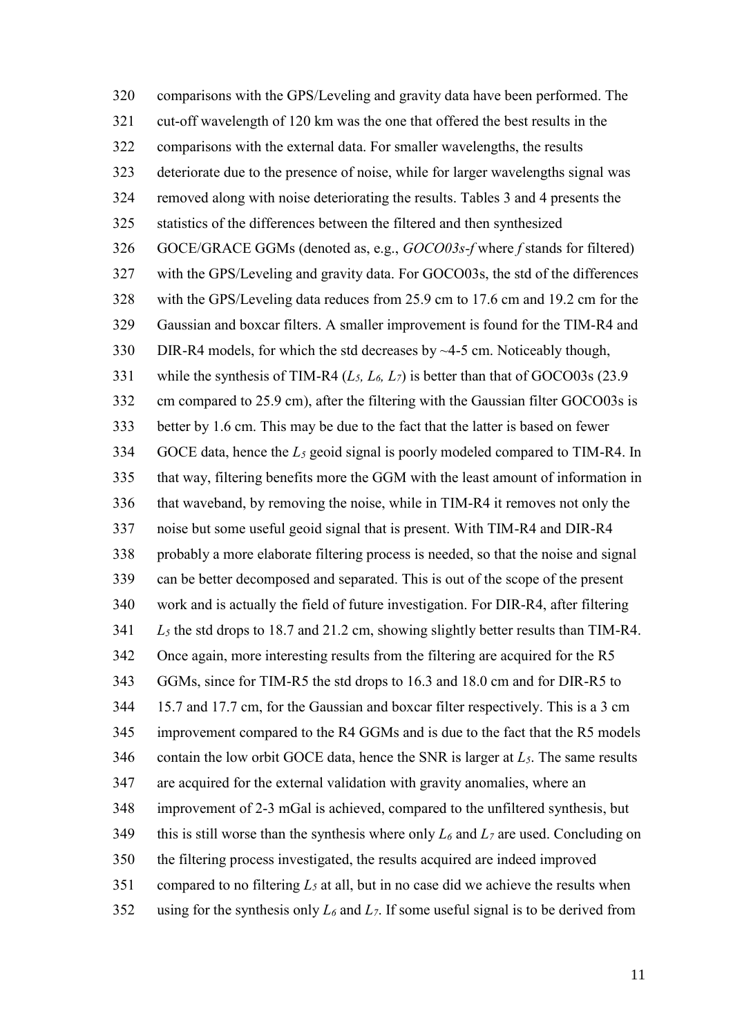comparisons with the GPS/Leveling and gravity data have been performed. The cut-off wavelength of 120 km was the one that offered the best results in the comparisons with the external data. For smaller wavelengths, the results deteriorate due to the presence of noise, while for larger wavelengths signal was removed along with noise deteriorating the results. Tables 3 and 4 presents the statistics of the differences between the filtered and then synthesized GOCE/GRACE GGMs (denoted as, e.g., *GOCO03s-f* where *f* stands for filtered) with the GPS/Leveling and gravity data. For GOCO03s, the std of the differences with the GPS/Leveling data reduces from 25.9 cm to 17.6 cm and 19.2 cm for the Gaussian and boxcar filters. A smaller improvement is found for the TIM-R4 and DIR-R4 models, for which the std decreases by ~4-5 cm. Noticeably though, while the synthesis of TIM-R4 (*L5, L6, L7*) is better than that of GOCO03s (23.9 cm compared to 25.9 cm), after the filtering with the Gaussian filter GOCO03s is better by 1.6 cm. This may be due to the fact that the latter is based on fewer GOCE data, hence the *L<sup>5</sup>* geoid signal is poorly modeled compared to TIM-R4. In that way, filtering benefits more the GGM with the least amount of information in that waveband, by removing the noise, while in TIM-R4 it removes not only the noise but some useful geoid signal that is present. With TIM-R4 and DIR-R4 probably a more elaborate filtering process is needed, so that the noise and signal can be better decomposed and separated. This is out of the scope of the present work and is actually the field of future investigation. For DIR-R4, after filtering *L<sup>5</sup>* the std drops to 18.7 and 21.2 cm, showing slightly better results than TIM-R4. Once again, more interesting results from the filtering are acquired for the R5 GGMs, since for TIM-R5 the std drops to 16.3 and 18.0 cm and for DIR-R5 to 15.7 and 17.7 cm, for the Gaussian and boxcar filter respectively. This is a 3 cm improvement compared to the R4 GGMs and is due to the fact that the R5 models contain the low orbit GOCE data, hence the SNR is larger at *L5*. The same results are acquired for the external validation with gravity anomalies, where an improvement of 2-3 mGal is achieved, compared to the unfiltered synthesis, but 349 this is still worse than the synthesis where only  $L_6$  and  $L_7$  are used. Concluding on the filtering process investigated, the results acquired are indeed improved 351 compared to no filtering  $L_5$  at all, but in no case did we achieve the results when using for the synthesis only *L<sup>6</sup>* and *L7*. If some useful signal is to be derived from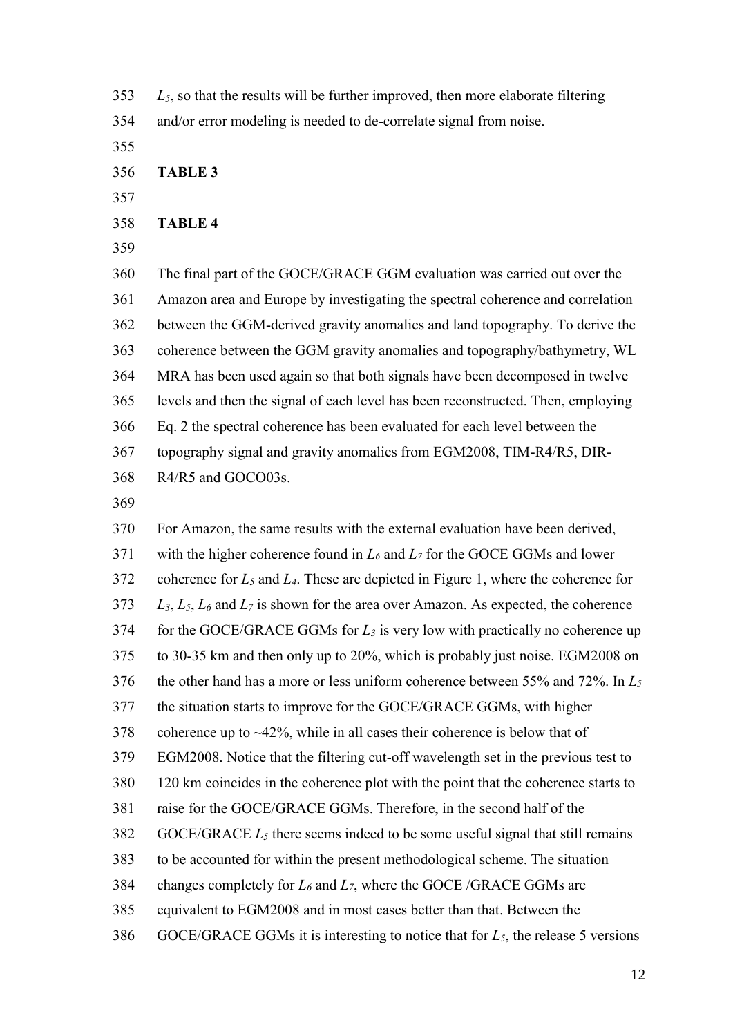- *L5*, so that the results will be further improved, then more elaborate filtering and/or error modeling is needed to de-correlate signal from noise.
- 

**TABLE 3**

#### **TABLE 4**

 The final part of the GOCE/GRACE GGM evaluation was carried out over the Amazon area and Europe by investigating the spectral coherence and correlation between the GGM-derived gravity anomalies and land topography. To derive the coherence between the GGM gravity anomalies and topography/bathymetry, WL MRA has been used again so that both signals have been decomposed in twelve levels and then the signal of each level has been reconstructed. Then, employing Eq. 2 the spectral coherence has been evaluated for each level between the topography signal and gravity anomalies from EGM2008, TIM-R4/R5, DIR-R4/R5 and GOCO03s.

 For Amazon, the same results with the external evaluation have been derived, with the higher coherence found in *L<sup>6</sup>* and *L<sup>7</sup>* for the GOCE GGMs and lower coherence for *L<sup>5</sup>* and *L4*. These are depicted in Figure 1, where the coherence for *L3*, *L5*, *L<sup>6</sup>* and *L<sup>7</sup>* is shown for the area over Amazon. As expected, the coherence for the GOCE/GRACE GGMs for *L<sup>3</sup>* is very low with practically no coherence up to 30-35 km and then only up to 20%, which is probably just noise. EGM2008 on the other hand has a more or less uniform coherence between 55% and 72%. In *L<sup>5</sup>* the situation starts to improve for the GOCE/GRACE GGMs, with higher 378 coherence up to  $\sim$ 42%, while in all cases their coherence is below that of EGM2008. Notice that the filtering cut-off wavelength set in the previous test to 120 km coincides in the coherence plot with the point that the coherence starts to raise for the GOCE/GRACE GGMs. Therefore, in the second half of the GOCE/GRACE *L<sup>5</sup>* there seems indeed to be some useful signal that still remains to be accounted for within the present methodological scheme. The situation changes completely for *L<sup>6</sup>* and *L7*, where the GOCE /GRACE GGMs are equivalent to EGM2008 and in most cases better than that. Between the 386 GOCE/GRACE GGMs it is interesting to notice that for  $L_5$ , the release 5 versions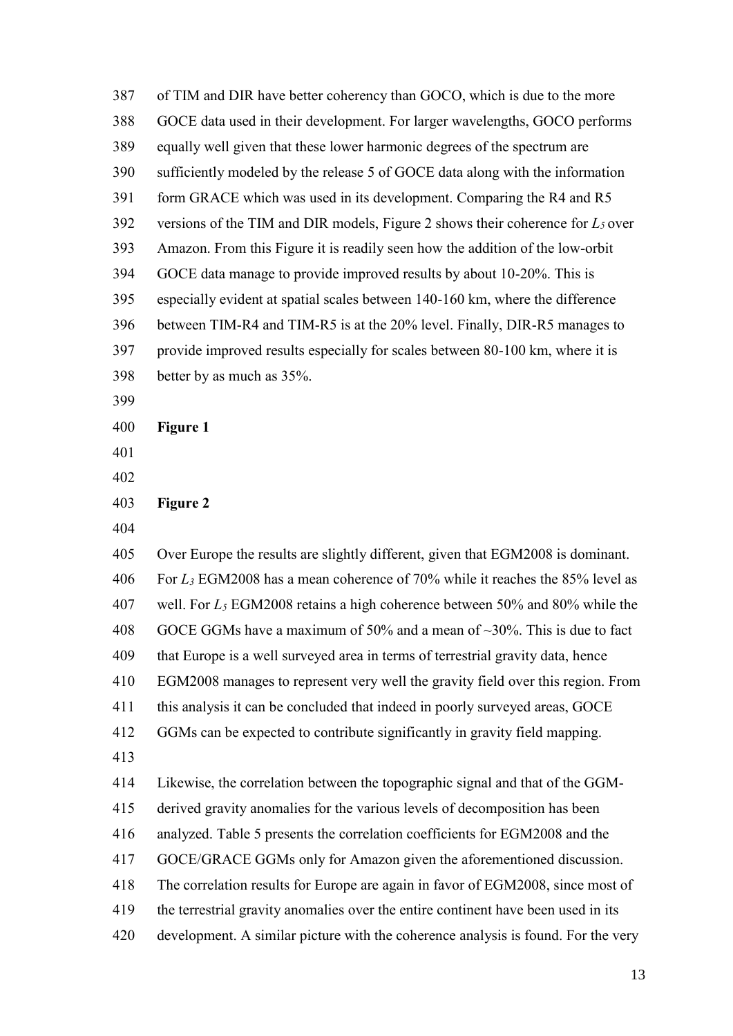of TIM and DIR have better coherency than GOCO, which is due to the more GOCE data used in their development. For larger wavelengths, GOCO performs equally well given that these lower harmonic degrees of the spectrum are sufficiently modeled by the release 5 of GOCE data along with the information form GRACE which was used in its development. Comparing the R4 and R5 versions of the TIM and DIR models, Figure 2 shows their coherence for *L<sup>5</sup>* over Amazon. From this Figure it is readily seen how the addition of the low-orbit GOCE data manage to provide improved results by about 10-20%. This is especially evident at spatial scales between 140-160 km, where the difference between TIM-R4 and TIM-R5 is at the 20% level. Finally, DIR-R5 manages to provide improved results especially for scales between 80-100 km, where it is better by as much as 35%. **Figure 1**

**Figure 2**

 Over Europe the results are slightly different, given that EGM2008 is dominant. For *L<sup>3</sup>* EGM2008 has a mean coherence of 70% while it reaches the 85% level as well. For *L<sup>5</sup>* EGM2008 retains a high coherence between 50% and 80% while the 408 GOCE GGMs have a maximum of 50% and a mean of  $\sim$ 30%. This is due to fact that Europe is a well surveyed area in terms of terrestrial gravity data, hence EGM2008 manages to represent very well the gravity field over this region. From this analysis it can be concluded that indeed in poorly surveyed areas, GOCE GGMs can be expected to contribute significantly in gravity field mapping. Likewise, the correlation between the topographic signal and that of the GGM- derived gravity anomalies for the various levels of decomposition has been analyzed. Table 5 presents the correlation coefficients for EGM2008 and the GOCE/GRACE GGMs only for Amazon given the aforementioned discussion. The correlation results for Europe are again in favor of EGM2008, since most of the terrestrial gravity anomalies over the entire continent have been used in its

development. A similar picture with the coherence analysis is found. For the very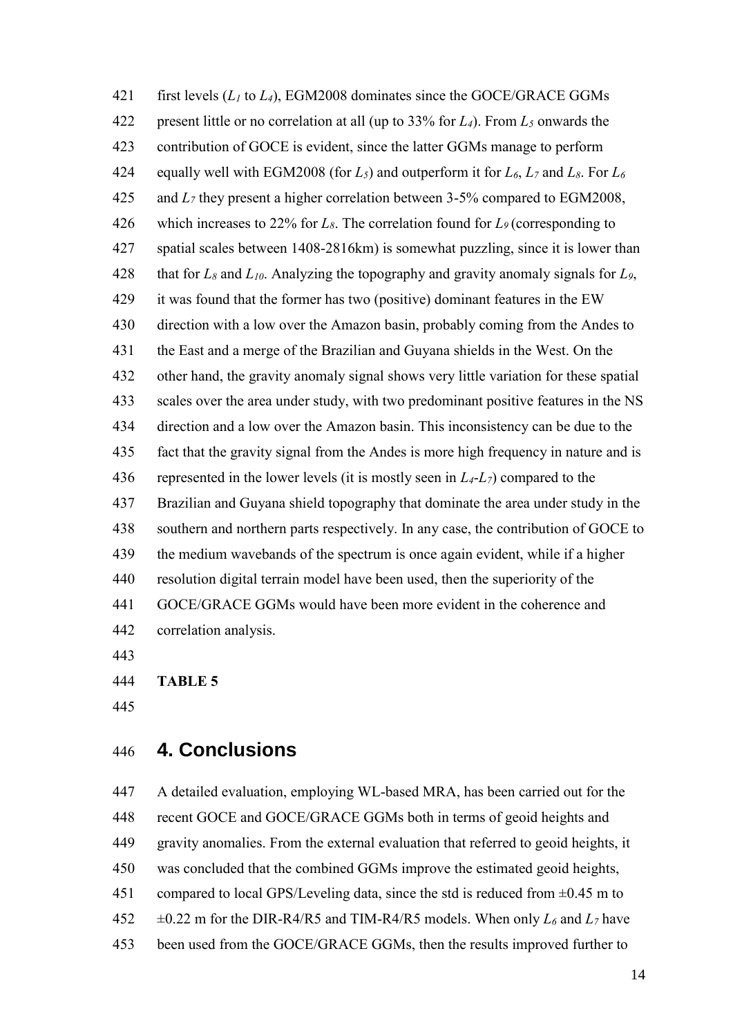first levels (*L<sup>1</sup>* to *L4*), EGM2008 dominates since the GOCE/GRACE GGMs present little or no correlation at all (up to 33% for *L4*). From *L<sup>5</sup>* onwards the contribution of GOCE is evident, since the latter GGMs manage to perform equally well with EGM2008 (for *L5*) and outperform it for *L6*, *L<sup>7</sup>* and *L8*. For *L<sup>6</sup>* and *L<sup>7</sup>* they present a higher correlation between 3-5% compared to EGM2008, which increases to 22% for *L8*. The correlation found for *L9* (corresponding to spatial scales between 1408-2816km) is somewhat puzzling, since it is lower than 428 that for  $L_8$  and  $L_{10}$ . Analyzing the topography and gravity anomaly signals for  $L_9$ , it was found that the former has two (positive) dominant features in the EW direction with a low over the Amazon basin, probably coming from the Andes to the East and a merge of the Brazilian and Guyana shields in the West. On the other hand, the gravity anomaly signal shows very little variation for these spatial scales over the area under study, with two predominant positive features in the NS direction and a low over the Amazon basin. This inconsistency can be due to the fact that the gravity signal from the Andes is more high frequency in nature and is represented in the lower levels (it is mostly seen in *L4*-*L7*) compared to the Brazilian and Guyana shield topography that dominate the area under study in the southern and northern parts respectively. In any case, the contribution of GOCE to the medium wavebands of the spectrum is once again evident, while if a higher resolution digital terrain model have been used, then the superiority of the GOCE/GRACE GGMs would have been more evident in the coherence and correlation analysis.

**TABLE 5**

## **4. Conclusions**

 A detailed evaluation, employing WL-based MRA, has been carried out for the recent GOCE and GOCE/GRACE GGMs both in terms of geoid heights and gravity anomalies. From the external evaluation that referred to geoid heights, it was concluded that the combined GGMs improve the estimated geoid heights, 451 compared to local GPS/Leveling data, since the std is reduced from  $\pm 0.45$  m to  $\pm 0.22$  m for the DIR-R4/R5 and TIM-R4/R5 models. When only  $L_6$  and  $L_7$  have been used from the GOCE/GRACE GGMs, then the results improved further to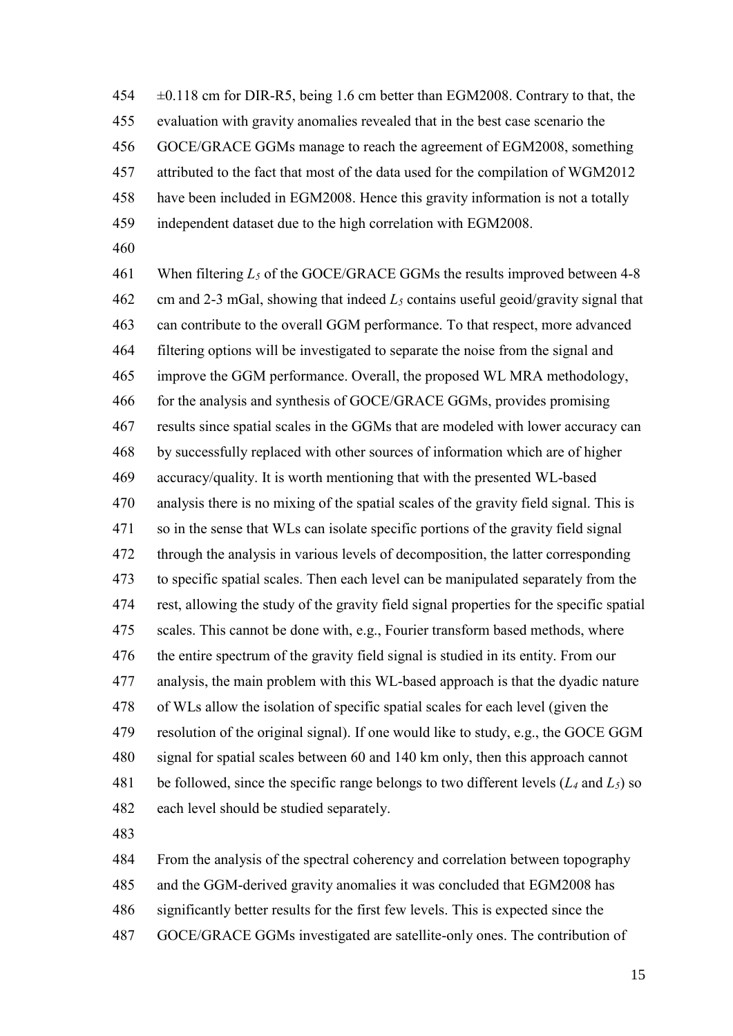±0.118 cm for DIR-R5, being 1.6 cm better than EGM2008. Contrary to that, the evaluation with gravity anomalies revealed that in the best case scenario the GOCE/GRACE GGMs manage to reach the agreement of EGM2008, something attributed to the fact that most of the data used for the compilation of WGM2012 have been included in EGM2008. Hence this gravity information is not a totally independent dataset due to the high correlation with EGM2008.

 When filtering *L<sup>5</sup>* of the GOCE/GRACE GGMs the results improved between 4-8 cm and 2-3 mGal, showing that indeed *L<sup>5</sup>* contains useful geoid/gravity signal that can contribute to the overall GGM performance. To that respect, more advanced filtering options will be investigated to separate the noise from the signal and improve the GGM performance. Overall, the proposed WL MRA methodology, for the analysis and synthesis of GOCE/GRACE GGMs, provides promising results since spatial scales in the GGMs that are modeled with lower accuracy can by successfully replaced with other sources of information which are of higher accuracy/quality. It is worth mentioning that with the presented WL-based analysis there is no mixing of the spatial scales of the gravity field signal. This is so in the sense that WLs can isolate specific portions of the gravity field signal through the analysis in various levels of decomposition, the latter corresponding to specific spatial scales. Then each level can be manipulated separately from the rest, allowing the study of the gravity field signal properties for the specific spatial scales. This cannot be done with, e.g., Fourier transform based methods, where the entire spectrum of the gravity field signal is studied in its entity. From our analysis, the main problem with this WL-based approach is that the dyadic nature of WLs allow the isolation of specific spatial scales for each level (given the resolution of the original signal). If one would like to study, e.g., the GOCE GGM signal for spatial scales between 60 and 140 km only, then this approach cannot be followed, since the specific range belongs to two different levels (*L<sup>4</sup>* and *L5*) so each level should be studied separately.

From the analysis of the spectral coherency and correlation between topography

and the GGM-derived gravity anomalies it was concluded that EGM2008 has

significantly better results for the first few levels. This is expected since the

GOCE/GRACE GGMs investigated are satellite-only ones. The contribution of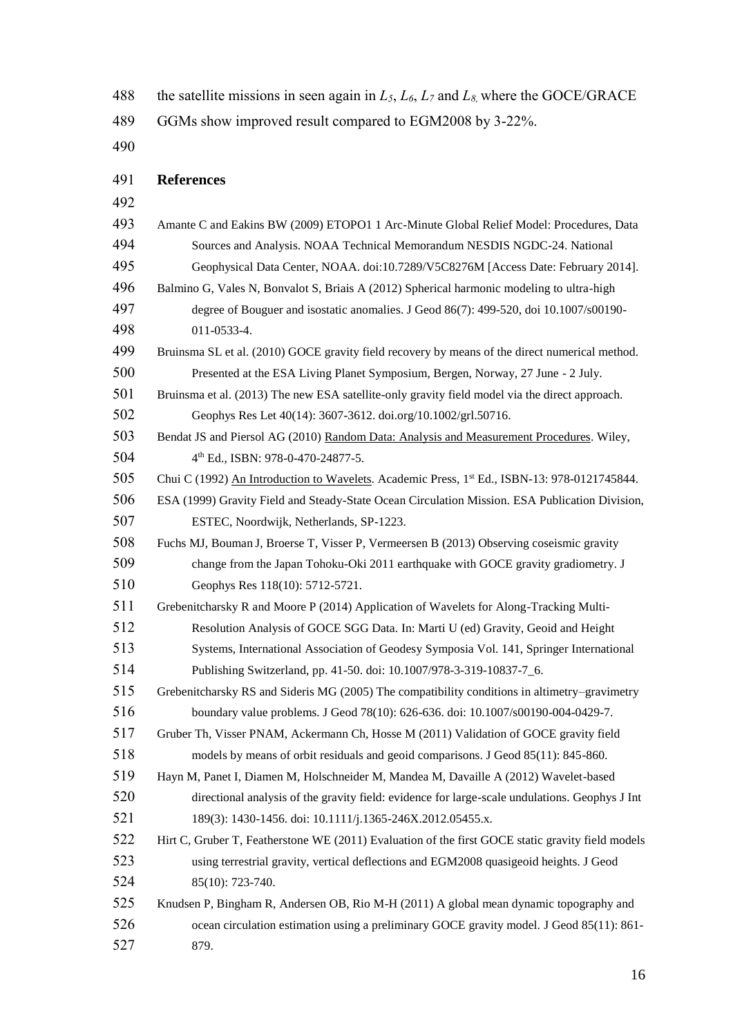the satellite missions in seen again in *L5*, *L6*, *L<sup>7</sup>* and *L8,* where the GOCE/GRACE

GGMs show improved result compared to EGM2008 by 3-22%.

## **References**

| 493 | Amante C and Eakins BW (2009) ETOPO1 1 Arc-Minute Global Relief Model: Procedures, Data           |
|-----|---------------------------------------------------------------------------------------------------|
| 494 | Sources and Analysis. NOAA Technical Memorandum NESDIS NGDC-24. National                          |
| 495 | Geophysical Data Center, NOAA. doi:10.7289/V5C8276M [Access Date: February 2014].                 |
| 496 | Balmino G, Vales N, Bonvalot S, Briais A (2012) Spherical harmonic modeling to ultra-high         |
| 497 | degree of Bouguer and isostatic anomalies. J Geod 86(7): 499-520, doi 10.1007/s00190-             |
| 498 | 011-0533-4.                                                                                       |
| 499 | Bruinsma SL et al. (2010) GOCE gravity field recovery by means of the direct numerical method.    |
| 500 | Presented at the ESA Living Planet Symposium, Bergen, Norway, 27 June - 2 July.                   |
| 501 | Bruinsma et al. (2013) The new ESA satellite-only gravity field model via the direct approach.    |
| 502 | Geophys Res Let 40(14): 3607-3612. doi.org/10.1002/grl.50716.                                     |
| 503 | Bendat JS and Piersol AG (2010) Random Data: Analysis and Measurement Procedures. Wiley,          |
| 504 | 4th Ed., ISBN: 978-0-470-24877-5.                                                                 |
| 505 | Chui C (1992) An Introduction to Wavelets. Academic Press, 1st Ed., ISBN-13: 978-0121745844.      |
| 506 | ESA (1999) Gravity Field and Steady-State Ocean Circulation Mission. ESA Publication Division,    |
| 507 | ESTEC, Noordwijk, Netherlands, SP-1223.                                                           |
| 508 | Fuchs MJ, Bouman J, Broerse T, Visser P, Vermeersen B (2013) Observing coseismic gravity          |
| 509 | change from the Japan Tohoku-Oki 2011 earthquake with GOCE gravity gradiometry. J                 |
| 510 | Geophys Res 118(10): 5712-5721.                                                                   |
| 511 | Grebenitcharsky R and Moore P (2014) Application of Wavelets for Along-Tracking Multi-            |
| 512 | Resolution Analysis of GOCE SGG Data. In: Marti U (ed) Gravity, Geoid and Height                  |
| 513 | Systems, International Association of Geodesy Symposia Vol. 141, Springer International           |
| 514 | Publishing Switzerland, pp. 41-50. doi: 10.1007/978-3-319-10837-7_6.                              |
| 515 | Grebenitcharsky RS and Sideris MG (2005) The compatibility conditions in altimetry–gravimetry     |
| 516 | boundary value problems. J Geod 78(10): 626-636. doi: 10.1007/s00190-004-0429-7.                  |
| 517 | Gruber Th, Visser PNAM, Ackermann Ch, Hosse M (2011) Validation of GOCE gravity field             |
| 518 | models by means of orbit residuals and geoid comparisons. J Geod 85(11): 845-860.                 |
| 519 | Hayn M, Panet I, Diamen M, Holschneider M, Mandea M, Davaille A (2012) Wavelet-based              |
| 520 | directional analysis of the gravity field: evidence for large-scale undulations. Geophys J Int    |
| 521 | 189(3): 1430-1456. doi: 10.1111/j.1365-246X.2012.05455.x.                                         |
| 522 | Hirt C, Gruber T, Featherstone WE (2011) Evaluation of the first GOCE static gravity field models |
| 523 | using terrestrial gravity, vertical deflections and EGM2008 quasigeoid heights. J Geod            |
| 524 | 85(10): 723-740.                                                                                  |
| 525 | Knudsen P, Bingham R, Andersen OB, Rio M-H (2011) A global mean dynamic topography and            |
| 526 | ocean circulation estimation using a preliminary GOCE gravity model. J Geod 85(11): 861-          |
| 527 | 879.                                                                                              |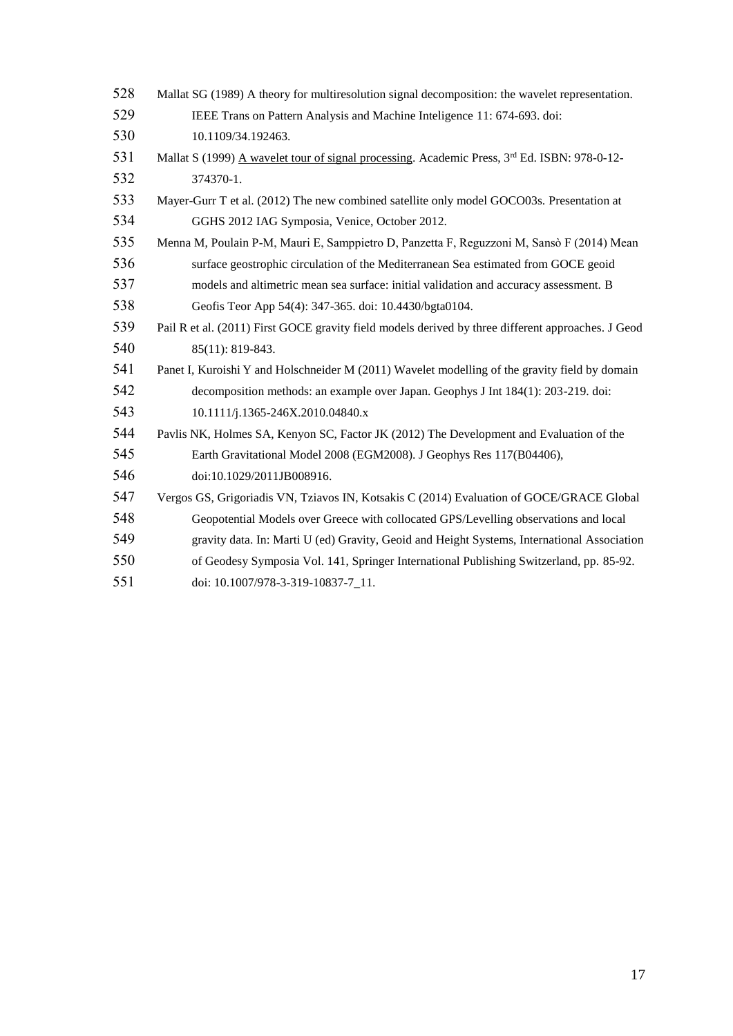| 528 | Mallat SG (1989) A theory for multiresolution signal decomposition: the wavelet representation.    |
|-----|----------------------------------------------------------------------------------------------------|
| 529 | IEEE Trans on Pattern Analysis and Machine Inteligence 11: 674-693. doi:                           |
| 530 | 10.1109/34.192463.                                                                                 |
| 531 | Mallat S (1999) A wavelet tour of signal processing. Academic Press, 3rd Ed. ISBN: 978-0-12-       |
| 532 | 374370-1.                                                                                          |
| 533 | Mayer-Gurr T et al. (2012) The new combined satellite only model GOCO03s. Presentation at          |
| 534 | GGHS 2012 IAG Symposia, Venice, October 2012.                                                      |
| 535 | Menna M, Poulain P-M, Mauri E, Samppietro D, Panzetta F, Reguzzoni M, Sansò F (2014) Mean          |
| 536 | surface geostrophic circulation of the Mediterranean Sea estimated from GOCE geoid                 |
| 537 | models and altimetric mean sea surface: initial validation and accuracy assessment. B              |
| 538 | Geofis Teor App 54(4): 347-365. doi: 10.4430/bgta0104.                                             |
| 539 | Pail R et al. (2011) First GOCE gravity field models derived by three different approaches. J Geod |
| 540 | 85(11): 819-843.                                                                                   |
| 541 | Panet I, Kuroishi Y and Holschneider M (2011) Wavelet modelling of the gravity field by domain     |
| 542 | decomposition methods: an example over Japan. Geophys J Int 184(1): 203-219. doi:                  |
| 543 | 10.1111/j.1365-246X.2010.04840.x                                                                   |
| 544 | Pavlis NK, Holmes SA, Kenyon SC, Factor JK (2012) The Development and Evaluation of the            |
| 545 | Earth Gravitational Model 2008 (EGM2008). J Geophys Res 117(B04406),                               |
| 546 | doi:10.1029/2011JB008916.                                                                          |
| 547 | Vergos GS, Grigoriadis VN, Tziavos IN, Kotsakis C (2014) Evaluation of GOCE/GRACE Global           |
| 548 | Geopotential Models over Greece with collocated GPS/Levelling observations and local               |
| 549 | gravity data. In: Marti U (ed) Gravity, Geoid and Height Systems, International Association        |
| 550 | of Geodesy Symposia Vol. 141, Springer International Publishing Switzerland, pp. 85-92.            |
| 551 | doi: 10.1007/978-3-319-10837-7 11.                                                                 |
|     |                                                                                                    |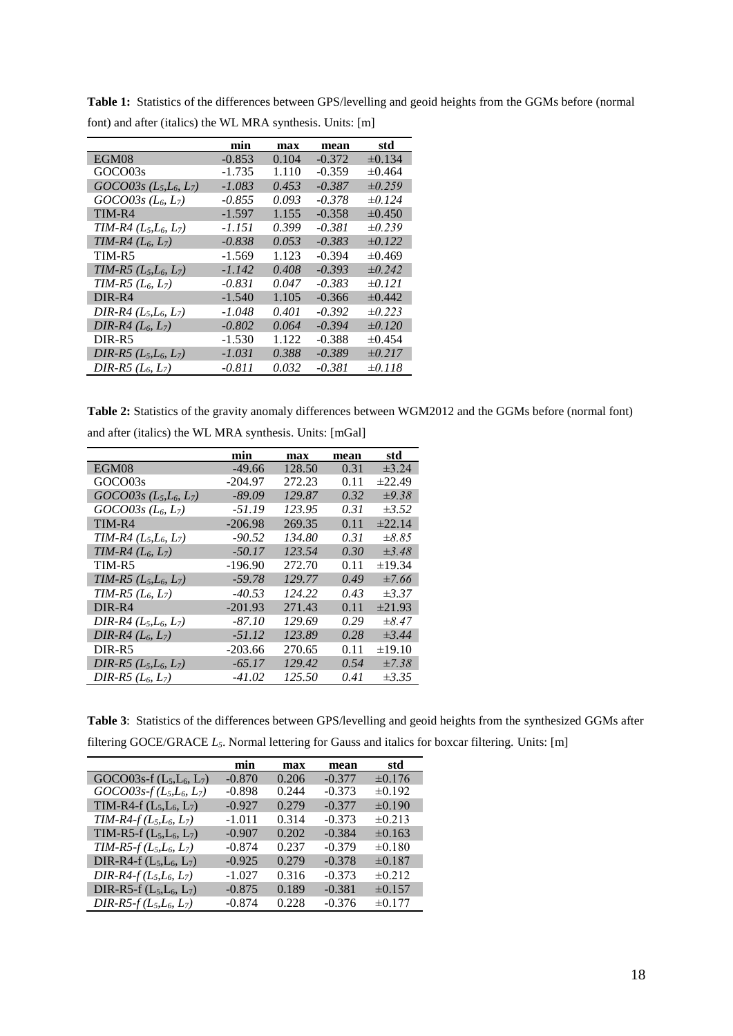|                          | min      | max   | mean     | std         |
|--------------------------|----------|-------|----------|-------------|
| EGM08                    | $-0.853$ | 0.104 | $-0.372$ | $\pm 0.134$ |
| GOCO03s                  | $-1.735$ | 1.110 | $-0.359$ | $\pm 0.464$ |
| $GOCO03s(L_5,L_6,L_7)$   | -1.083   | 0.453 | $-0.387$ | $\pm 0.259$ |
| $GOCO03s$ ( $L_6, L_7$ ) | -0.855   | 0.093 | $-0.378$ | $\pm 0.124$ |
| TIM-R4                   | $-1.597$ | 1.155 | $-0.358$ | $\pm 0.450$ |
| $TIM-R4 (L_5, L_6, L_7)$ | -1.151   | 0.399 | $-0.381$ | $\pm 0.239$ |
| TIM-R4 $(L_6, L_7)$      | -0.838   | 0.053 | $-0.383$ | $\pm 0.122$ |
| TIM-R5                   | $-1.569$ | 1.123 | $-0.394$ | $\pm 0.469$ |
| $TIM-R5 (L_5, L_6, L_7)$ | -1.142   | 0.408 | $-0.393$ | $\pm 0.242$ |
| $TIM-R5 (L_6, L_7)$      | -0.831   | 0.047 | $-0.383$ | $\pm 0.121$ |
| DIR-R4                   | $-1.540$ | 1.105 | $-0.366$ | $\pm 0.442$ |
| DIR-R4 $(L_5, L_6, L_7)$ | -1.048   | 0.401 | $-0.392$ | $\pm 0.223$ |
| $DIR-R4 (L_6, L_7)$      | $-0.802$ | 0.064 | $-0.394$ | $\pm 0.120$ |
| DIR-R5                   | $-1.530$ | 1.122 | -0.388   | $\pm 0.454$ |
| DIR-R5 $(L_5, L_6, L_7)$ | -1.031   | 0.388 | $-0.389$ | $\pm 0.217$ |
| $DIR-R5 (L_6, L_7)$      | $-0.811$ | 0.032 | $-0.381$ | $\pm 0.118$ |

**Table 1:** Statistics of the differences between GPS/levelling and geoid heights from the GGMs before (normal font) and after (italics) the WL MRA synthesis. Units: [m]

**Table 2:** Statistics of the gravity anomaly differences between WGM2012 and the GGMs before (normal font) and after (italics) the WL MRA synthesis. Units: [mGal]

|                                                   | min       | max    | mean | std         |
|---------------------------------------------------|-----------|--------|------|-------------|
| EGM08                                             | $-49.66$  | 128.50 | 0.31 | $\pm 3.24$  |
| GOCO03s                                           | -204.97   | 272.23 | 0.11 | $\pm 22.49$ |
| $GOCO03s(L_5,L_6,L_7)$                            | $-89.09$  | 129.87 | 0.32 | $\pm 9.38$  |
| $GOCO03s$ ( <i>L<sub>6</sub>, L<sub>7</sub></i> ) | $-51.19$  | 123.95 | 0.31 | $\pm 3.52$  |
| TIM-R4                                            | $-206.98$ | 269.35 | 0.11 | ±22.14      |
| TIM-R4 $(L_5, L_6, L_7)$                          | -90.52    | 134.80 | 0.31 | $\pm 8.85$  |
| $TIM-R4 (L_6, L_7)$                               | $-50.17$  | 123.54 | 0.30 | $\pm$ 3.48  |
| TIM-R5                                            | $-196.90$ | 272.70 | 0.11 | ±19.34      |
| $TIM-R5 (L_5, L_6, L_7)$                          | $-59.78$  | 129.77 | 0.49 | $\pm 7.66$  |
| $TIM-R5 (L_6, L_7)$                               | $-40.53$  | 124.22 | 0.43 | $\pm 3.37$  |
| DIR-R4                                            | $-201.93$ | 271.43 | 0.11 | $\pm 21.93$ |
| $DIR-R4 (L_5, L_6, L_7)$                          | -87.10    | 129.69 | 0.29 | $\pm 8.47$  |
| DIR-R4 $(L_6, L_7)$                               | $-51.12$  | 123.89 | 0.28 | $\pm 3.44$  |
| DIR-R5                                            | $-203.66$ | 270.65 | 0.11 | $\pm 19.10$ |
| DIR-R5 $(L_5, L_6, L_7)$                          | $-65.17$  | 129.42 | 0.54 | $\pm 7.38$  |
| DIR-R5 $(L_6, L_7)$                               | -41.02    | 125.50 | 0.41 | $\pm 3.35$  |

**Table 3**: Statistics of the differences between GPS/levelling and geoid heights from the synthesized GGMs after filtering GOCE/GRACE *L5*. Normal lettering for Gauss and italics for boxcar filtering. Units: [m]

|                             | min      | max   | mean     | std         |
|-----------------------------|----------|-------|----------|-------------|
| GOCO03s-f $(L_5, L_6, L_7)$ | $-0.870$ | 0.206 | $-0.377$ | $\pm 0.176$ |
| $GOCO03s-f(L_5,L_6,L_7)$    | $-0.898$ | 0.244 | $-0.373$ | $\pm 0.192$ |
| TIM-R4-f $(L_5, L_6, L_7)$  | $-0.927$ | 0.279 | $-0.377$ | ±0.190      |
| $TIM-R4-f(L_5,L_6, L_7)$    | $-1.011$ | 0.314 | $-0.373$ | $\pm 0.213$ |
| TIM-R5-f $(L_5, L_6, L_7)$  | $-0.907$ | 0.202 | $-0.384$ | $\pm 0.163$ |
| $TIM-R5-f(L_5,L_6, L_7)$    | $-0.874$ | 0.237 | $-0.379$ | ±0.180      |
| DIR-R4-f $(L_5, L_6, L_7)$  | $-0.925$ | 0.279 | $-0.378$ | ±0.187      |
| $DIR-R4-f(L_5,L_6, L_7)$    | $-1.027$ | 0.316 | $-0.373$ | $\pm 0.212$ |
| DIR-R5-f $(L_5, L_6, L_7)$  | $-0.875$ | 0.189 | $-0.381$ | ±0.157      |
| $DIR-R5-f(L_5,L_6,L_7)$     | $-0.874$ | 0.228 | $-0.376$ | ±0.177      |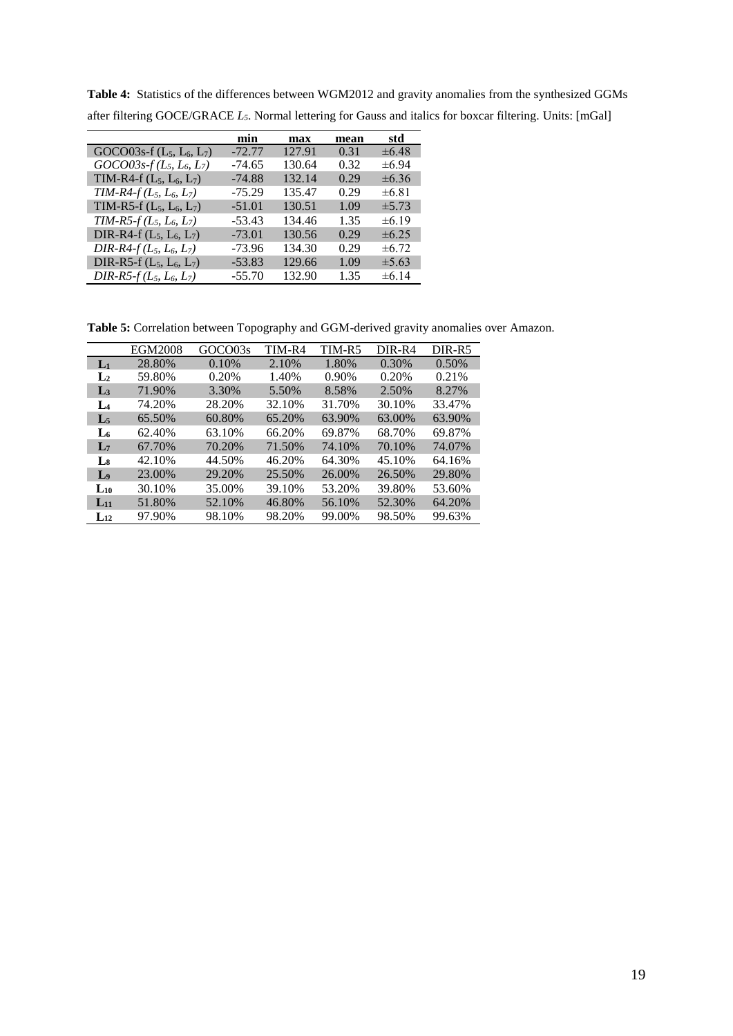|                             | min      | max    | mean | std        |
|-----------------------------|----------|--------|------|------------|
| GOCO03s-f $(L_5, L_6, L_7)$ | $-72.77$ | 127.91 | 0.31 | $\pm 6.48$ |
| $GOCO03s-f(L_5, L_6, L_7)$  | $-74.65$ | 130.64 | 0.32 | $\pm 6.94$ |
| TIM-R4-f $(L_5, L_6, L_7)$  | $-74.88$ | 132.14 | 0.29 | $\pm 6.36$ |
| TIM-R4- $f(L_5, L_6, L_7)$  | $-75.29$ | 135.47 | 0.29 | $\pm 6.81$ |
| TIM-R5-f $(L_5, L_6, L_7)$  | $-51.01$ | 130.51 | 1.09 | $\pm 5.73$ |
| $TIM-R5-f(L_5, L_6, L_7)$   | $-53.43$ | 134.46 | 1.35 | $\pm 6.19$ |
| DIR-R4-f $(L_5, L_6, L_7)$  | $-73.01$ | 130.56 | 0.29 | $\pm 6.25$ |
| $DIR-R4-f(L_5, L_6, L_7)$   | $-73.96$ | 134.30 | 0.29 | $\pm 6.72$ |
| DIR-R5-f $(L_5, L_6, L_7)$  | $-53.83$ | 129.66 | 1.09 | $\pm 5.63$ |
| $DIR-R5-f(L_5, L_6, L_7)$   | $-55.70$ | 132.90 | 1.35 | $\pm 6.14$ |

**Table 4:** Statistics of the differences between WGM2012 and gravity anomalies from the synthesized GGMs after filtering GOCE/GRACE *L5*. Normal lettering for Gauss and italics for boxcar filtering. Units: [mGal]

**Table 5:** Correlation between Topography and GGM-derived gravity anomalies over Amazon.

|                | <b>EGM2008</b> | GOCO03s | TIM-R4 | TIM-R5 | DIR-R4 | DIR-R5 |
|----------------|----------------|---------|--------|--------|--------|--------|
| $L_1$          | 28.80%         | 0.10%   | 2.10%  | 1.80%  | 0.30%  | 0.50%  |
| L <sub>2</sub> | 59.80%         | 0.20%   | 1.40%  | 0.90%  | 0.20%  | 0.21%  |
| L <sub>3</sub> | 71.90%         | 3.30%   | 5.50%  | 8.58%  | 2.50%  | 8.27%  |
| $L_4$          | 74.20%         | 28.20%  | 32.10% | 31.70% | 30.10% | 33.47% |
| L <sub>5</sub> | 65.50%         | 60.80%  | 65.20% | 63.90% | 63.00% | 63.90% |
| $L_6$          | 62.40%         | 63.10%  | 66.20% | 69.87% | 68.70% | 69.87% |
| $\mathbf{L}$   | 67.70%         | 70.20%  | 71.50% | 74.10% | 70.10% | 74.07% |
| Ls             | 42.10%         | 44.50%  | 46.20% | 64.30% | 45.10% | 64.16% |
| L <sub>9</sub> | 23.00%         | 29.20%  | 25.50% | 26.00% | 26.50% | 29.80% |
| $L_{10}$       | 30.10%         | 35.00%  | 39.10% | 53.20% | 39.80% | 53.60% |
| $L_{11}$       | 51.80%         | 52.10%  | 46.80% | 56.10% | 52.30% | 64.20% |
| $L_{12}$       | 97.90%         | 98.10%  | 98.20% | 99.00% | 98.50% | 99.63% |